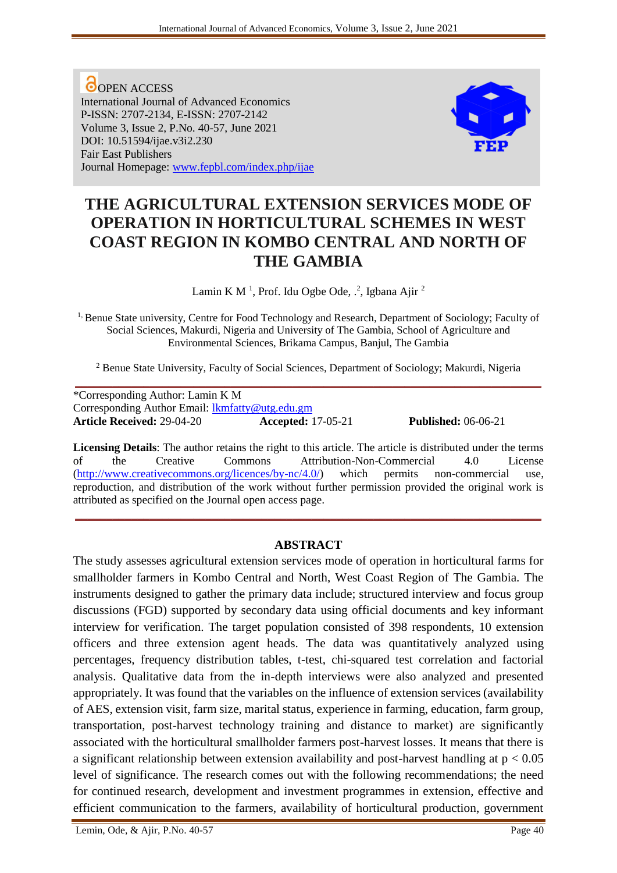O OPEN ACCESS International Journal of Advanced Economics P-ISSN: 2707-2134, E-ISSN: 2707-2142 Volume 3, Issue 2, P.No. 40-57, June 2021 DOI: 10.51594/ijae.v3i2.230 Fair East Publishers Journal Homepage: [www.fepbl.com/index.php/ijae](http://www.fepbl.com/index.php/ijae)



# **THE AGRICULTURAL EXTENSION SERVICES MODE OF OPERATION IN HORTICULTURAL SCHEMES IN WEST COAST REGION IN KOMBO CENTRAL AND NORTH OF THE GAMBIA**

Lamin K M<sup>1</sup>, Prof. Idu Ogbe Ode, .<sup>2</sup>, Igbana Ajir<sup>2</sup>

<sup>1,</sup> Benue State university, Centre for Food Technology and Research, Department of Sociology; Faculty of Social Sciences, Makurdi, Nigeria and University of The Gambia, School of Agriculture and Environmental Sciences, Brikama Campus, Banjul, The Gambia

<sup>2</sup> Benue State University, Faculty of Social Sciences, Department of Sociology; Makurdi, Nigeria

**\_\_\_\_\_\_\_\_\_\_\_\_\_\_\_\_\_\_\_\_\_\_\_\_\_\_\_\_\_\_\_\_\_\_\_\_\_\_\_\_\_\_\_\_\_\_\_\_\_\_\_\_\_\_\_\_\_\_\_\_\_\_\_\_\_\_\_\_\_\_\_\_\_\_\_** \*Corresponding Author: Lamin K M Corresponding Author Email: [lkmfatty@utg.edu.gm](mailto:lkmfatty@utg.edu.gm) **Article Received:** 29-04-20 **Accepted:** 17-05-21 **Published:** 06-06-21

**Licensing Details**: The author retains the right to this article. The article is distributed under the terms of the Creative Commons Attribution-Non-Commercial 4.0 License [\(http://www.creativecommons.org/licences/by-nc/4.0/\)](http://www.creativecommons.org/licences/by-nc/4.0/) which permits non-commercial use, reproduction, and distribution of the work without further permission provided the original work is attributed as specified on the Journal open access page.

# **ABSTRACT**

**\_\_\_\_\_\_\_\_\_\_\_\_\_\_\_\_\_\_\_\_\_\_\_\_\_\_\_\_\_\_\_\_\_\_\_\_\_\_\_\_\_\_\_\_\_\_\_\_\_\_\_\_\_\_\_\_\_\_\_\_\_\_\_\_\_\_\_\_\_\_\_\_\_\_\_**

The study assesses agricultural extension services mode of operation in horticultural farms for smallholder farmers in Kombo Central and North, West Coast Region of The Gambia. The instruments designed to gather the primary data include; structured interview and focus group discussions (FGD) supported by secondary data using official documents and key informant interview for verification. The target population consisted of 398 respondents, 10 extension officers and three extension agent heads. The data was quantitatively analyzed using percentages, frequency distribution tables, t-test, chi-squared test correlation and factorial analysis. Qualitative data from the in-depth interviews were also analyzed and presented appropriately. It was found that the variables on the influence of extension services (availability of AES, extension visit, farm size, marital status, experience in farming, education, farm group, transportation, post-harvest technology training and distance to market) are significantly associated with the horticultural smallholder farmers post-harvest losses. It means that there is a significant relationship between extension availability and post-harvest handling at  $p < 0.05$ level of significance. The research comes out with the following recommendations; the need for continued research, development and investment programmes in extension, effective and efficient communication to the farmers, availability of horticultural production, government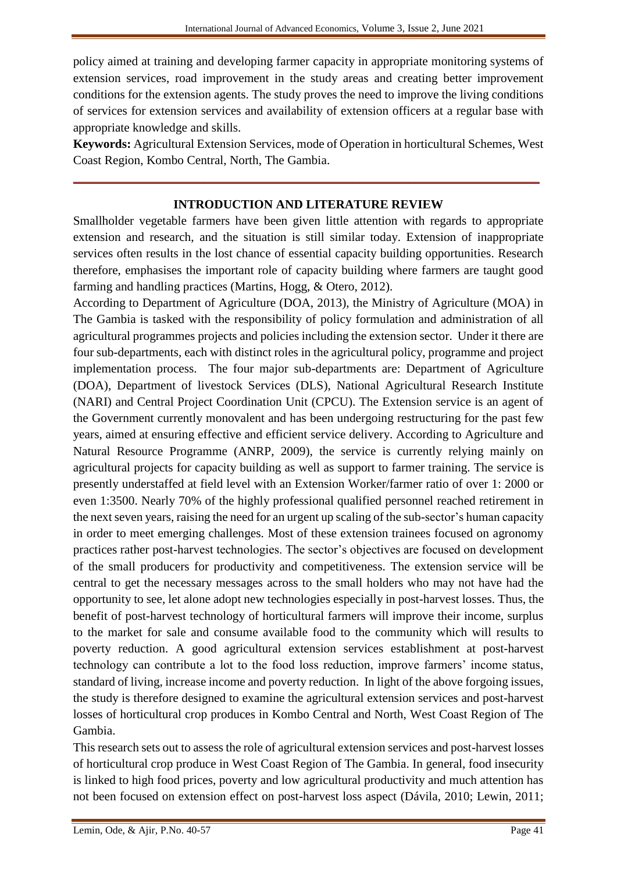policy aimed at training and developing farmer capacity in appropriate monitoring systems of extension services, road improvement in the study areas and creating better improvement conditions for the extension agents. The study proves the need to improve the living conditions of services for extension services and availability of extension officers at a regular base with appropriate knowledge and skills.

**Keywords:** Agricultural Extension Services, mode of Operation in horticultural Schemes, West Coast Region, Kombo Central, North, The Gambia.

#### **INTRODUCTION AND LITERATURE REVIEW**

**\_\_\_\_\_\_\_\_\_\_\_\_\_\_\_\_\_\_\_\_\_\_\_\_\_\_\_\_\_\_\_\_\_\_\_\_\_\_\_\_\_\_\_\_\_\_\_\_\_\_\_\_\_\_\_\_\_\_\_\_\_\_\_\_\_\_\_\_\_\_\_\_\_\_\_**

Smallholder vegetable farmers have been given little attention with regards to appropriate extension and research, and the situation is still similar today. Extension of inappropriate services often results in the lost chance of essential capacity building opportunities. Research therefore, emphasises the important role of capacity building where farmers are taught good farming and handling practices (Martins, Hogg, & Otero, 2012).

According to Department of Agriculture (DOA, 2013), the Ministry of Agriculture (MOA) in The Gambia is tasked with the responsibility of policy formulation and administration of all agricultural programmes projects and policies including the extension sector. Under it there are four sub-departments, each with distinct roles in the agricultural policy, programme and project implementation process. The four major sub-departments are: Department of Agriculture (DOA), Department of livestock Services (DLS), National Agricultural Research Institute (NARI) and Central Project Coordination Unit (CPCU). The Extension service is an agent of the Government currently monovalent and has been undergoing restructuring for the past few years, aimed at ensuring effective and efficient service delivery. According to Agriculture and Natural Resource Programme (ANRP, 2009), the service is currently relying mainly on agricultural projects for capacity building as well as support to farmer training. The service is presently understaffed at field level with an Extension Worker/farmer ratio of over 1: 2000 or even 1:3500. Nearly 70% of the highly professional qualified personnel reached retirement in the next seven years, raising the need for an urgent up scaling of the sub-sector's human capacity in order to meet emerging challenges. Most of these extension trainees focused on agronomy practices rather post-harvest technologies. The sector's objectives are focused on development of the small producers for productivity and competitiveness. The extension service will be central to get the necessary messages across to the small holders who may not have had the opportunity to see, let alone adopt new technologies especially in post-harvest losses. Thus, the benefit of post-harvest technology of horticultural farmers will improve their income, surplus to the market for sale and consume available food to the community which will results to poverty reduction. A good agricultural extension services establishment at post-harvest technology can contribute a lot to the food loss reduction, improve farmers' income status, standard of living, increase income and poverty reduction. In light of the above forgoing issues, the study is therefore designed to examine the agricultural extension services and post-harvest losses of horticultural crop produces in Kombo Central and North, West Coast Region of The Gambia.

This research sets out to assess the role of agricultural extension services and post-harvest losses of horticultural crop produce in West Coast Region of The Gambia. In general, food insecurity is linked to high food prices, poverty and low agricultural productivity and much attention has not been focused on extension effect on post-harvest loss aspect (Dávila, 2010; Lewin, 2011;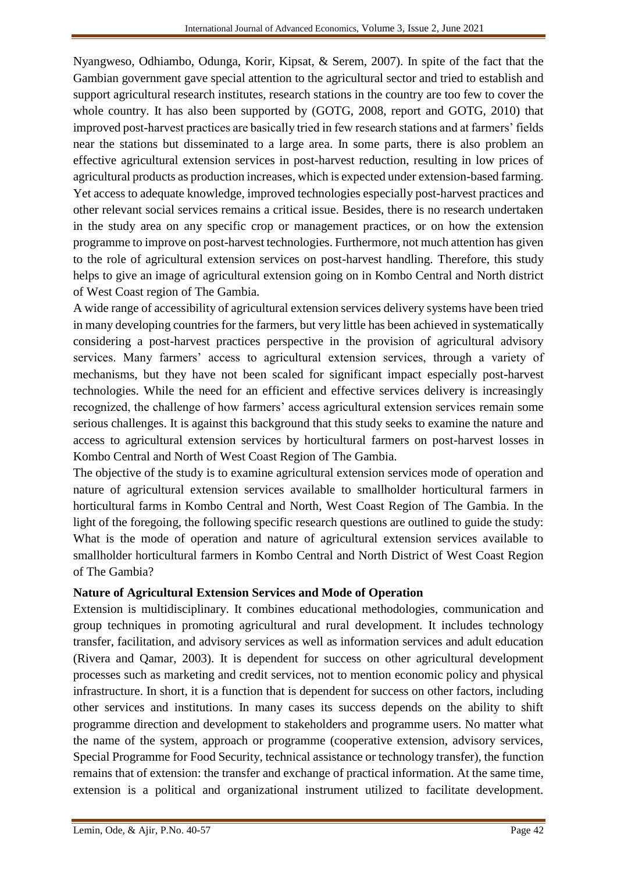Nyangweso, Odhiambo, Odunga, Korir, Kipsat, & Serem, 2007). In spite of the fact that the Gambian government gave special attention to the agricultural sector and tried to establish and support agricultural research institutes, research stations in the country are too few to cover the whole country. It has also been supported by (GOTG, 2008, report and GOTG, 2010) that improved post-harvest practices are basically tried in few research stations and at farmers' fields near the stations but disseminated to a large area. In some parts, there is also problem an effective agricultural extension services in post-harvest reduction, resulting in low prices of agricultural products as production increases, which is expected under extension-based farming. Yet access to adequate knowledge, improved technologies especially post-harvest practices and other relevant social services remains a critical issue. Besides, there is no research undertaken in the study area on any specific crop or management practices, or on how the extension programme to improve on post-harvest technologies. Furthermore, not much attention has given to the role of agricultural extension services on post-harvest handling. Therefore, this study helps to give an image of agricultural extension going on in Kombo Central and North district of West Coast region of The Gambia.

A wide range of accessibility of agricultural extension services delivery systems have been tried in many developing countries for the farmers, but very little has been achieved in systematically considering a post-harvest practices perspective in the provision of agricultural advisory services. Many farmers' access to agricultural extension services, through a variety of mechanisms, but they have not been scaled for significant impact especially post-harvest technologies. While the need for an efficient and effective services delivery is increasingly recognized, the challenge of how farmers' access agricultural extension services remain some serious challenges. It is against this background that this study seeks to examine the nature and access to agricultural extension services by horticultural farmers on post-harvest losses in Kombo Central and North of West Coast Region of The Gambia.

The objective of the study is to examine agricultural extension services mode of operation and nature of agricultural extension services available to smallholder horticultural farmers in horticultural farms in Kombo Central and North, West Coast Region of The Gambia. In the light of the foregoing, the following specific research questions are outlined to guide the study: What is the mode of operation and nature of agricultural extension services available to smallholder horticultural farmers in Kombo Central and North District of West Coast Region of The Gambia?

# **Nature of Agricultural Extension Services and Mode of Operation**

Extension is multidisciplinary. It combines educational methodologies, communication and group techniques in promoting agricultural and rural development. It includes technology transfer, facilitation, and advisory services as well as information services and adult education (Rivera and Qamar, 2003). It is dependent for success on other agricultural development processes such as marketing and credit services, not to mention economic policy and physical infrastructure. In short, it is a function that is dependent for success on other factors, including other services and institutions. In many cases its success depends on the ability to shift programme direction and development to stakeholders and programme users. No matter what the name of the system, approach or programme (cooperative extension, advisory services, Special Programme for Food Security, technical assistance or technology transfer), the function remains that of extension: the transfer and exchange of practical information. At the same time, extension is a political and organizational instrument utilized to facilitate development.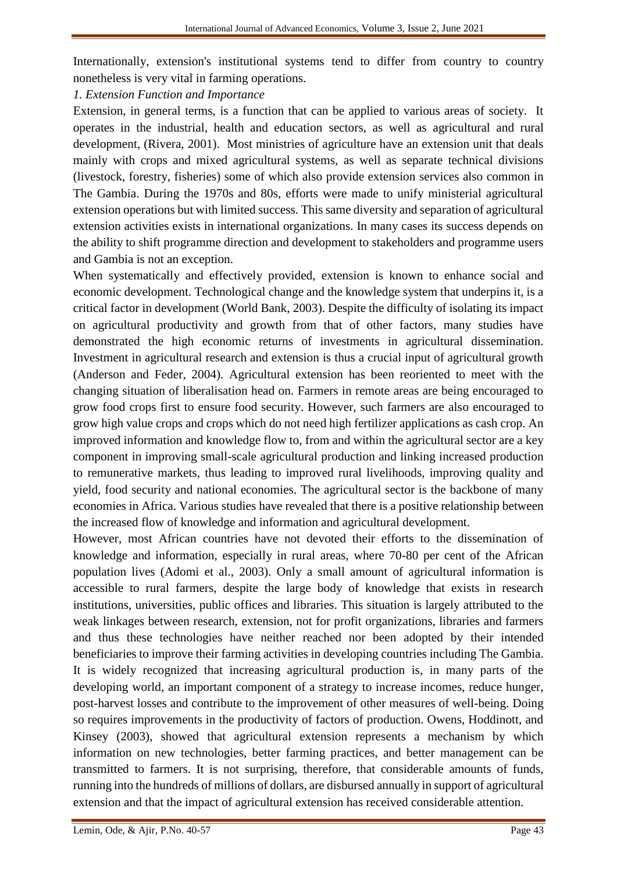Internationally, extension's institutional systems tend to differ from country to country nonetheless is very vital in farming operations.

#### *1. Extension Function and Importance*

Extension, in general terms, is a function that can be applied to various areas of society. It operates in the industrial, health and education sectors, as well as agricultural and rural development, (Rivera, 2001). Most ministries of agriculture have an extension unit that deals mainly with crops and mixed agricultural systems, as well as separate technical divisions (livestock, forestry, fisheries) some of which also provide extension services also common in The Gambia. During the 1970s and 80s, efforts were made to unify ministerial agricultural extension operations but with limited success. This same diversity and separation of agricultural extension activities exists in international organizations. In many cases its success depends on the ability to shift programme direction and development to stakeholders and programme users and Gambia is not an exception.

When systematically and effectively provided, extension is known to enhance social and economic development. Technological change and the knowledge system that underpins it, is a critical factor in development (World Bank, 2003). Despite the difficulty of isolating its impact on agricultural productivity and growth from that of other factors, many studies have demonstrated the high economic returns of investments in agricultural dissemination. Investment in agricultural research and extension is thus a crucial input of agricultural growth (Anderson and Feder, 2004). Agricultural extension has been reoriented to meet with the changing situation of liberalisation head on. Farmers in remote areas are being encouraged to grow food crops first to ensure food security. However, such farmers are also encouraged to grow high value crops and crops which do not need high fertilizer applications as cash crop. An improved information and knowledge flow to, from and within the agricultural sector are a key component in improving small-scale agricultural production and linking increased production to remunerative markets, thus leading to improved rural livelihoods, improving quality and yield, food security and national economies. The agricultural sector is the backbone of many economies in Africa. Various studies have revealed that there is a positive relationship between the increased flow of knowledge and information and agricultural development.

However, most African countries have not devoted their efforts to the dissemination of knowledge and information, especially in rural areas, where 70-80 per cent of the African population lives (Adomi et al., 2003). Only a small amount of agricultural information is accessible to rural farmers, despite the large body of knowledge that exists in research institutions, universities, public offices and libraries. This situation is largely attributed to the weak linkages between research, extension, not for profit organizations, libraries and farmers and thus these technologies have neither reached nor been adopted by their intended beneficiaries to improve their farming activities in developing countries including The Gambia. It is widely recognized that increasing agricultural production is, in many parts of the developing world, an important component of a strategy to increase incomes, reduce hunger, post-harvest losses and contribute to the improvement of other measures of well-being. Doing so requires improvements in the productivity of factors of production. Owens, Hoddinott, and Kinsey (2003), showed that agricultural extension represents a mechanism by which information on new technologies, better farming practices, and better management can be transmitted to farmers. It is not surprising, therefore, that considerable amounts of funds, running into the hundreds of millions of dollars, are disbursed annually in support of agricultural extension and that the impact of agricultural extension has received considerable attention.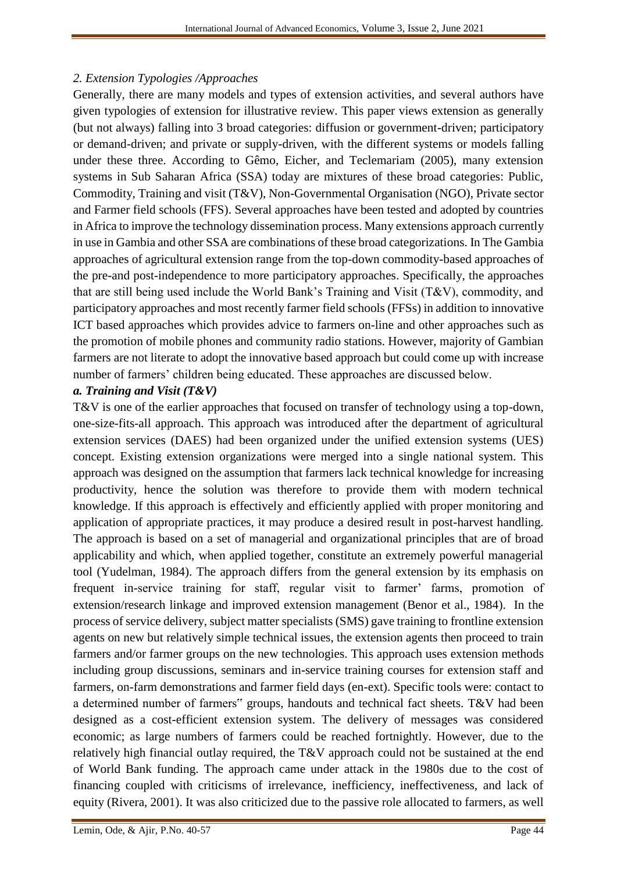# *2. Extension Typologies /Approaches*

Generally, there are many models and types of extension activities, and several authors have given typologies of extension for illustrative review. This paper views extension as generally (but not always) falling into 3 broad categories: diffusion or government-driven; participatory or demand-driven; and private or supply-driven, with the different systems or models falling under these three. According to Gêmo, Eicher, and Teclemariam (2005), many extension systems in Sub Saharan Africa (SSA) today are mixtures of these broad categories: Public, Commodity, Training and visit (T&V), Non-Governmental Organisation (NGO), Private sector and Farmer field schools (FFS). Several approaches have been tested and adopted by countries in Africa to improve the technology dissemination process. Many extensions approach currently in use in Gambia and other SSA are combinations of these broad categorizations. In The Gambia approaches of agricultural extension range from the top-down commodity-based approaches of the pre-and post-independence to more participatory approaches. Specifically, the approaches that are still being used include the World Bank's Training and Visit (T&V), commodity, and participatory approaches and most recently farmer field schools (FFSs) in addition to innovative ICT based approaches which provides advice to farmers on-line and other approaches such as the promotion of mobile phones and community radio stations. However, majority of Gambian farmers are not literate to adopt the innovative based approach but could come up with increase number of farmers' children being educated. These approaches are discussed below.

# *a. Training and Visit (T&V)*

T&V is one of the earlier approaches that focused on transfer of technology using a top-down, one-size-fits-all approach. This approach was introduced after the department of agricultural extension services (DAES) had been organized under the unified extension systems (UES) concept. Existing extension organizations were merged into a single national system. This approach was designed on the assumption that farmers lack technical knowledge for increasing productivity, hence the solution was therefore to provide them with modern technical knowledge. If this approach is effectively and efficiently applied with proper monitoring and application of appropriate practices, it may produce a desired result in post-harvest handling. The approach is based on a set of managerial and organizational principles that are of broad applicability and which, when applied together, constitute an extremely powerful managerial tool (Yudelman, 1984). The approach differs from the general extension by its emphasis on frequent in-service training for staff, regular visit to farmer' farms, promotion of extension/research linkage and improved extension management (Benor et al., 1984). In the process of service delivery, subject matter specialists (SMS) gave training to frontline extension agents on new but relatively simple technical issues, the extension agents then proceed to train farmers and/or farmer groups on the new technologies. This approach uses extension methods including group discussions, seminars and in-service training courses for extension staff and farmers, on-farm demonstrations and farmer field days (en-ext). Specific tools were: contact to a determined number of farmers" groups, handouts and technical fact sheets. T&V had been designed as a cost-efficient extension system. The delivery of messages was considered economic; as large numbers of farmers could be reached fortnightly. However, due to the relatively high financial outlay required, the T&V approach could not be sustained at the end of World Bank funding. The approach came under attack in the 1980s due to the cost of financing coupled with criticisms of irrelevance, inefficiency, ineffectiveness, and lack of equity (Rivera, 2001). It was also criticized due to the passive role allocated to farmers, as well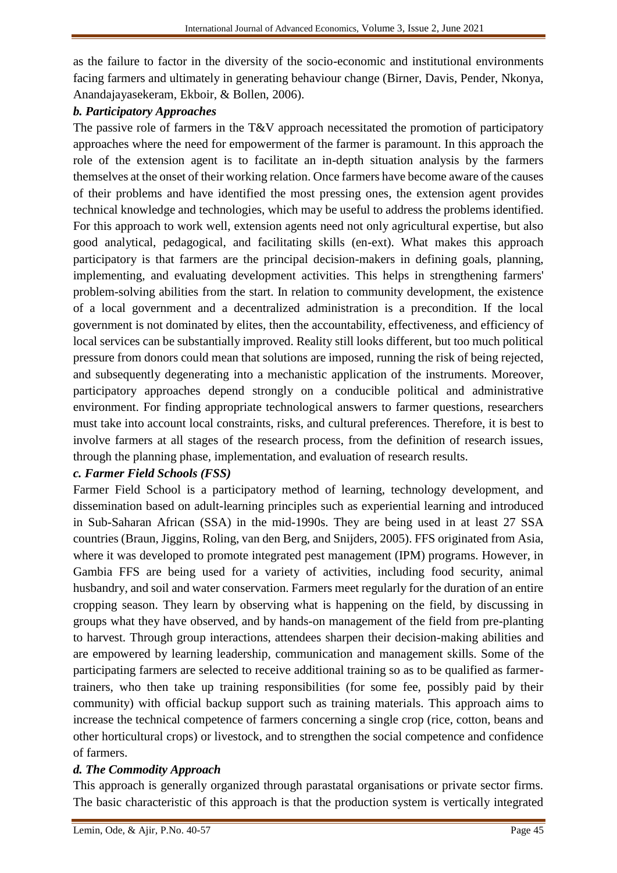as the failure to factor in the diversity of the socio-economic and institutional environments facing farmers and ultimately in generating behaviour change (Birner, Davis, Pender, Nkonya, Anandajayasekeram, Ekboir, & Bollen, 2006).

### *b. Participatory Approaches*

The passive role of farmers in the T&V approach necessitated the promotion of participatory approaches where the need for empowerment of the farmer is paramount. In this approach the role of the extension agent is to facilitate an in-depth situation analysis by the farmers themselves at the onset of their working relation. Once farmers have become aware of the causes of their problems and have identified the most pressing ones, the extension agent provides technical knowledge and technologies, which may be useful to address the problems identified. For this approach to work well, extension agents need not only agricultural expertise, but also good analytical, pedagogical, and facilitating skills (en-ext). What makes this approach participatory is that farmers are the principal decision-makers in defining goals, planning, implementing, and evaluating development activities. This helps in strengthening farmers' problem-solving abilities from the start. In relation to community development, the existence of a local government and a decentralized administration is a precondition. If the local government is not dominated by elites, then the accountability, effectiveness, and efficiency of local services can be substantially improved. Reality still looks different, but too much political pressure from donors could mean that solutions are imposed, running the risk of being rejected, and subsequently degenerating into a mechanistic application of the instruments. Moreover, participatory approaches depend strongly on a conducible political and administrative environment. For finding appropriate technological answers to farmer questions, researchers must take into account local constraints, risks, and cultural preferences. Therefore, it is best to involve farmers at all stages of the research process, from the definition of research issues, through the planning phase, implementation, and evaluation of research results.

#### *c. Farmer Field Schools (FSS)*

Farmer Field School is a participatory method of learning, technology development, and dissemination based on adult-learning principles such as experiential learning and introduced in Sub-Saharan African (SSA) in the mid-1990s. They are being used in at least 27 SSA countries (Braun, Jiggins, Roling, van den Berg, and Snijders, 2005). FFS originated from Asia, where it was developed to promote integrated pest management (IPM) programs. However, in Gambia FFS are being used for a variety of activities, including food security, animal husbandry, and soil and water conservation. Farmers meet regularly for the duration of an entire cropping season. They learn by observing what is happening on the field, by discussing in groups what they have observed, and by hands-on management of the field from pre-planting to harvest. Through group interactions, attendees sharpen their decision-making abilities and are empowered by learning leadership, communication and management skills. Some of the participating farmers are selected to receive additional training so as to be qualified as farmertrainers, who then take up training responsibilities (for some fee, possibly paid by their community) with official backup support such as training materials. This approach aims to increase the technical competence of farmers concerning a single crop (rice, cotton, beans and other horticultural crops) or livestock, and to strengthen the social competence and confidence of farmers.

# *d. The Commodity Approach*

This approach is generally organized through parastatal organisations or private sector firms. The basic characteristic of this approach is that the production system is vertically integrated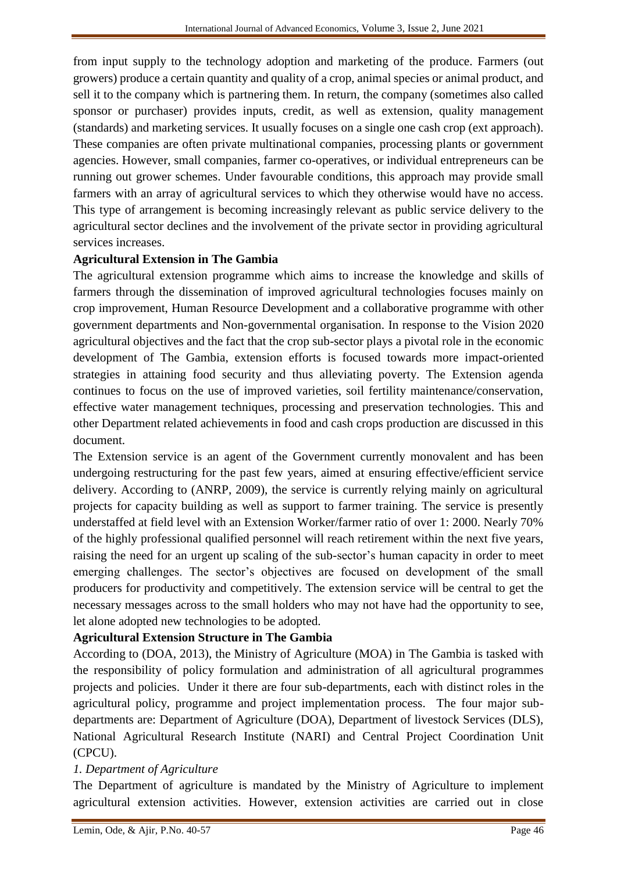from input supply to the technology adoption and marketing of the produce. Farmers (out growers) produce a certain quantity and quality of a crop, animal species or animal product, and sell it to the company which is partnering them. In return, the company (sometimes also called sponsor or purchaser) provides inputs, credit, as well as extension, quality management (standards) and marketing services. It usually focuses on a single one cash crop (ext approach). These companies are often private multinational companies, processing plants or government agencies. However, small companies, farmer co-operatives, or individual entrepreneurs can be running out grower schemes. Under favourable conditions, this approach may provide small farmers with an array of agricultural services to which they otherwise would have no access. This type of arrangement is becoming increasingly relevant as public service delivery to the agricultural sector declines and the involvement of the private sector in providing agricultural services increases.

# **Agricultural Extension in The Gambia**

The agricultural extension programme which aims to increase the knowledge and skills of farmers through the dissemination of improved agricultural technologies focuses mainly on crop improvement, Human Resource Development and a collaborative programme with other government departments and Non-governmental organisation. In response to the Vision 2020 agricultural objectives and the fact that the crop sub-sector plays a pivotal role in the economic development of The Gambia, extension efforts is focused towards more impact-oriented strategies in attaining food security and thus alleviating poverty. The Extension agenda continues to focus on the use of improved varieties, soil fertility maintenance/conservation, effective water management techniques, processing and preservation technologies. This and other Department related achievements in food and cash crops production are discussed in this document.

The Extension service is an agent of the Government currently monovalent and has been undergoing restructuring for the past few years, aimed at ensuring effective/efficient service delivery. According to (ANRP, 2009), the service is currently relying mainly on agricultural projects for capacity building as well as support to farmer training. The service is presently understaffed at field level with an Extension Worker/farmer ratio of over 1: 2000. Nearly 70% of the highly professional qualified personnel will reach retirement within the next five years, raising the need for an urgent up scaling of the sub-sector's human capacity in order to meet emerging challenges. The sector's objectives are focused on development of the small producers for productivity and competitively. The extension service will be central to get the necessary messages across to the small holders who may not have had the opportunity to see, let alone adopted new technologies to be adopted.

# **Agricultural Extension Structure in The Gambia**

According to (DOA, 2013), the Ministry of Agriculture (MOA) in The Gambia is tasked with the responsibility of policy formulation and administration of all agricultural programmes projects and policies. Under it there are four sub-departments, each with distinct roles in the agricultural policy, programme and project implementation process. The four major subdepartments are: Department of Agriculture (DOA), Department of livestock Services (DLS), National Agricultural Research Institute (NARI) and Central Project Coordination Unit (CPCU).

# *1. Department of Agriculture*

The Department of agriculture is mandated by the Ministry of Agriculture to implement agricultural extension activities. However, extension activities are carried out in close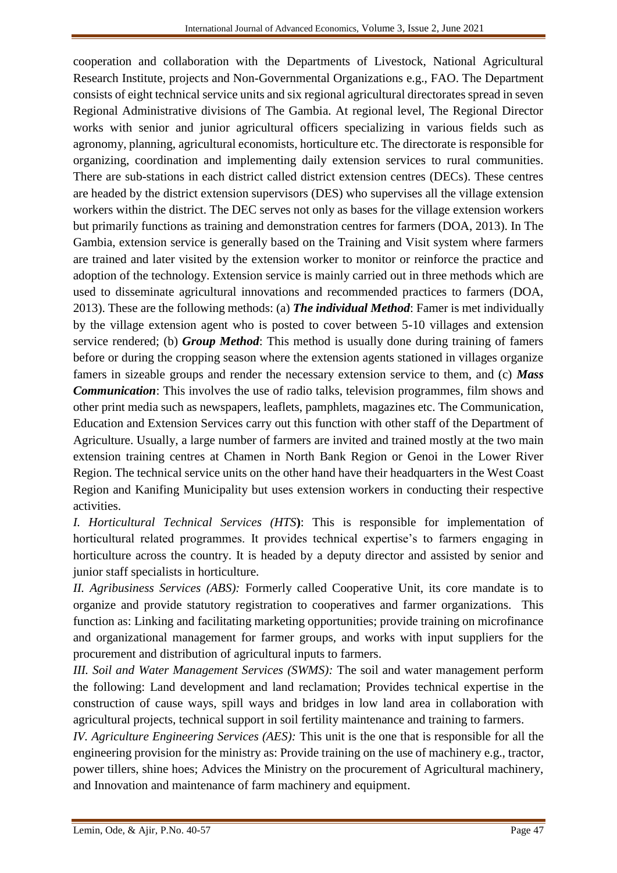cooperation and collaboration with the Departments of Livestock, National Agricultural Research Institute, projects and Non-Governmental Organizations e.g., FAO. The Department consists of eight technical service units and six regional agricultural directorates spread in seven Regional Administrative divisions of The Gambia. At regional level, The Regional Director works with senior and junior agricultural officers specializing in various fields such as agronomy, planning, agricultural economists, horticulture etc. The directorate is responsible for organizing, coordination and implementing daily extension services to rural communities. There are sub-stations in each district called district extension centres (DECs). These centres are headed by the district extension supervisors (DES) who supervises all the village extension workers within the district. The DEC serves not only as bases for the village extension workers but primarily functions as training and demonstration centres for farmers (DOA, 2013). In The Gambia, extension service is generally based on the Training and Visit system where farmers are trained and later visited by the extension worker to monitor or reinforce the practice and adoption of the technology. Extension service is mainly carried out in three methods which are used to disseminate agricultural innovations and recommended practices to farmers (DOA, 2013). These are the following methods: (a) *The individual Method*: Famer is met individually by the village extension agent who is posted to cover between 5-10 villages and extension service rendered; (b) *Group Method*: This method is usually done during training of famers before or during the cropping season where the extension agents stationed in villages organize famers in sizeable groups and render the necessary extension service to them, and (c) *Mass Communication*: This involves the use of radio talks, television programmes, film shows and other print media such as newspapers, leaflets, pamphlets, magazines etc. The Communication, Education and Extension Services carry out this function with other staff of the Department of Agriculture. Usually, a large number of farmers are invited and trained mostly at the two main extension training centres at Chamen in North Bank Region or Genoi in the Lower River Region. The technical service units on the other hand have their headquarters in the West Coast Region and Kanifing Municipality but uses extension workers in conducting their respective activities.

*I. Horticultural Technical Services (HTS***)**: This is responsible for implementation of horticultural related programmes. It provides technical expertise's to farmers engaging in horticulture across the country. It is headed by a deputy director and assisted by senior and junior staff specialists in horticulture.

*II. Agribusiness Services (ABS):* Formerly called Cooperative Unit, its core mandate is to organize and provide statutory registration to cooperatives and farmer organizations. This function as: Linking and facilitating marketing opportunities; provide training on microfinance and organizational management for farmer groups, and works with input suppliers for the procurement and distribution of agricultural inputs to farmers.

*III. Soil and Water Management Services (SWMS):* The soil and water management perform the following: Land development and land reclamation; Provides technical expertise in the construction of cause ways, spill ways and bridges in low land area in collaboration with agricultural projects, technical support in soil fertility maintenance and training to farmers.

*IV. Agriculture Engineering Services (AES):* This unit is the one that is responsible for all the engineering provision for the ministry as: Provide training on the use of machinery e.g., tractor, power tillers, shine hoes; Advices the Ministry on the procurement of Agricultural machinery, and Innovation and maintenance of farm machinery and equipment.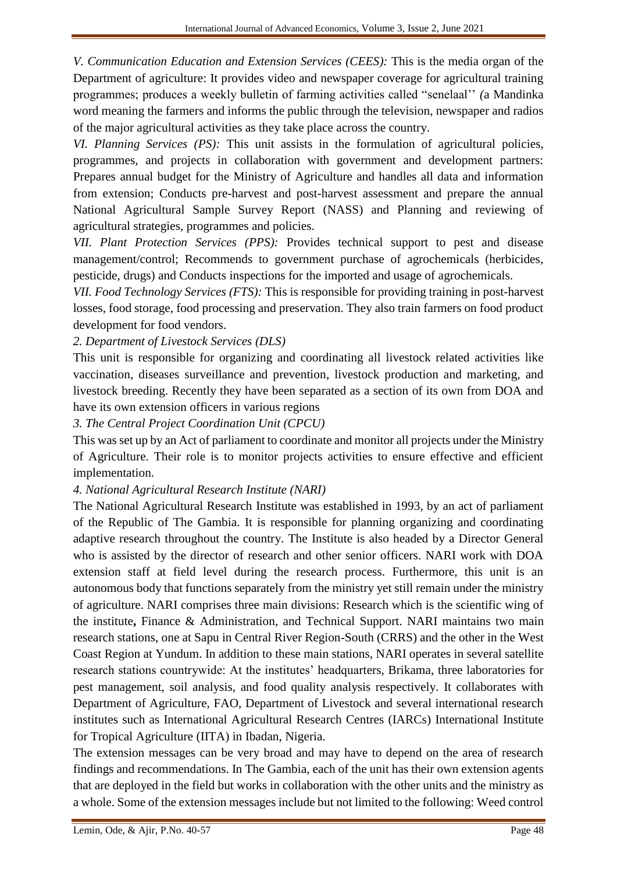*V. Communication Education and Extension Services (CEES):* This is the media organ of the Department of agriculture: It provides video and newspaper coverage for agricultural training programmes; produces a weekly bulletin of farming activities called "senelaal'' *(*a Mandinka word meaning the farmers and informs the public through the television, newspaper and radios of the major agricultural activities as they take place across the country.

*VI. Planning Services (PS):* This unit assists in the formulation of agricultural policies, programmes, and projects in collaboration with government and development partners: Prepares annual budget for the Ministry of Agriculture and handles all data and information from extension; Conducts pre-harvest and post-harvest assessment and prepare the annual National Agricultural Sample Survey Report (NASS) and Planning and reviewing of agricultural strategies, programmes and policies.

*VII. Plant Protection Services (PPS):* Provides technical support to pest and disease management/control; Recommends to government purchase of agrochemicals (herbicides, pesticide, drugs) and Conducts inspections for the imported and usage of agrochemicals.

*VII. Food Technology Services (FTS):* This is responsible for providing training in post-harvest losses, food storage, food processing and preservation. They also train farmers on food product development for food vendors.

*2. Department of Livestock Services (DLS)*

This unit is responsible for organizing and coordinating all livestock related activities like vaccination, diseases surveillance and prevention, livestock production and marketing, and livestock breeding. Recently they have been separated as a section of its own from DOA and have its own extension officers in various regions

*3. The Central Project Coordination Unit (CPCU)*

This was set up by an Act of parliament to coordinate and monitor all projects under the Ministry of Agriculture. Their role is to monitor projects activities to ensure effective and efficient implementation.

#### *4. National Agricultural Research Institute (NARI)*

The National Agricultural Research Institute was established in 1993, by an act of parliament of the Republic of The Gambia. It is responsible for planning organizing and coordinating adaptive research throughout the country. The Institute is also headed by a Director General who is assisted by the director of research and other senior officers. NARI work with DOA extension staff at field level during the research process. Furthermore, this unit is an autonomous body that functions separately from the ministry yet still remain under the ministry of agriculture. NARI comprises three main divisions: Research which is the scientific wing of the institute**,** Finance & Administration, and Technical Support. NARI maintains two main research stations, one at Sapu in Central River Region-South (CRRS) and the other in the West Coast Region at Yundum. In addition to these main stations, NARI operates in several satellite research stations countrywide: At the institutes' headquarters, Brikama, three laboratories for pest management, soil analysis, and food quality analysis respectively. It collaborates with Department of Agriculture, FAO, Department of Livestock and several international research institutes such as International Agricultural Research Centres (IARCs) International Institute for Tropical Agriculture (IITA) in Ibadan, Nigeria.

The extension messages can be very broad and may have to depend on the area of research findings and recommendations. In The Gambia, each of the unit has their own extension agents that are deployed in the field but works in collaboration with the other units and the ministry as a whole. Some of the extension messages include but not limited to the following: Weed control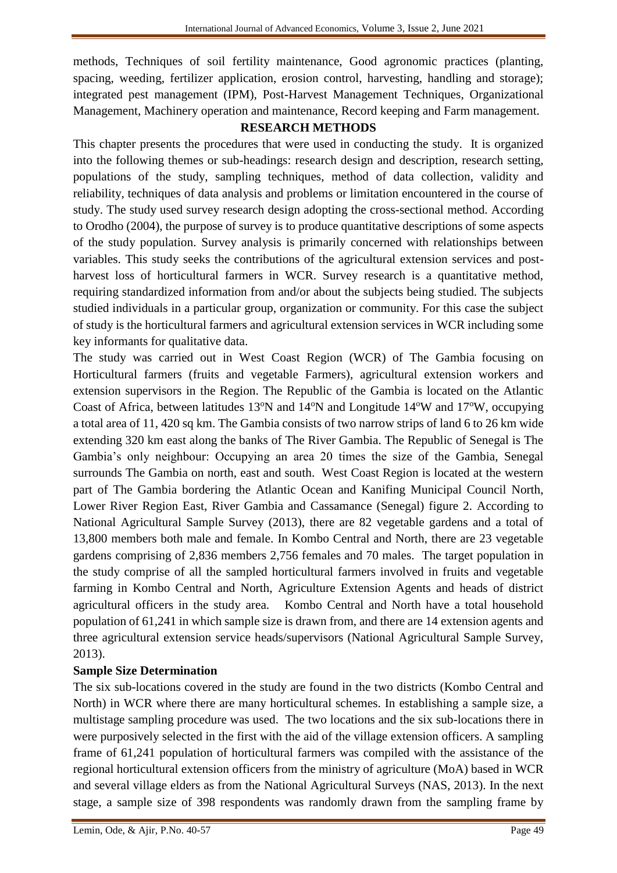methods, Techniques of soil fertility maintenance, Good agronomic practices (planting, spacing, weeding, fertilizer application, erosion control, harvesting, handling and storage); integrated pest management (IPM), Post-Harvest Management Techniques, Organizational Management, Machinery operation and maintenance, Record keeping and Farm management.

# **RESEARCH METHODS**

This chapter presents the procedures that were used in conducting the study. It is organized into the following themes or sub-headings: research design and description, research setting, populations of the study, sampling techniques, method of data collection, validity and reliability, techniques of data analysis and problems or limitation encountered in the course of study. The study used survey research design adopting the cross-sectional method. According to Orodho (2004), the purpose of survey is to produce quantitative descriptions of some aspects of the study population. Survey analysis is primarily concerned with relationships between variables. This study seeks the contributions of the agricultural extension services and postharvest loss of horticultural farmers in WCR. Survey research is a quantitative method, requiring standardized information from and/or about the subjects being studied. The subjects studied individuals in a particular group, organization or community. For this case the subject of study is the horticultural farmers and agricultural extension services in WCR including some key informants for qualitative data.

The study was carried out in West Coast Region (WCR) of The Gambia focusing on Horticultural farmers (fruits and vegetable Farmers), agricultural extension workers and extension supervisors in the Region. The Republic of the Gambia is located on the Atlantic Coast of Africa, between latitudes 13<sup>o</sup>N and 14<sup>o</sup>N and Longitude 14<sup>o</sup>W and 17<sup>o</sup>W, occupying a total area of 11, 420 sq km. The Gambia consists of two narrow strips of land 6 to 26 km wide extending 320 km east along the banks of The River Gambia. The Republic of Senegal is The Gambia's only neighbour: Occupying an area 20 times the size of the Gambia, Senegal surrounds The Gambia on north, east and south. West Coast Region is located at the western part of The Gambia bordering the Atlantic Ocean and Kanifing Municipal Council North, Lower River Region East, River Gambia and Cassamance (Senegal) figure 2. According to National Agricultural Sample Survey (2013), there are 82 vegetable gardens and a total of 13,800 members both male and female. In Kombo Central and North, there are 23 vegetable gardens comprising of 2,836 members 2,756 females and 70 males. The target population in the study comprise of all the sampled horticultural farmers involved in fruits and vegetable farming in Kombo Central and North, Agriculture Extension Agents and heads of district agricultural officers in the study area. Kombo Central and North have a total household population of 61,241 in which sample size is drawn from, and there are 14 extension agents and three agricultural extension service heads/supervisors (National Agricultural Sample Survey, 2013).

# **Sample Size Determination**

The six sub-locations covered in the study are found in the two districts (Kombo Central and North) in WCR where there are many horticultural schemes. In establishing a sample size, a multistage sampling procedure was used. The two locations and the six sub-locations there in were purposively selected in the first with the aid of the village extension officers. A sampling frame of 61,241 population of horticultural farmers was compiled with the assistance of the regional horticultural extension officers from the ministry of agriculture (MoA) based in WCR and several village elders as from the National Agricultural Surveys (NAS, 2013). In the next stage, a sample size of 398 respondents was randomly drawn from the sampling frame by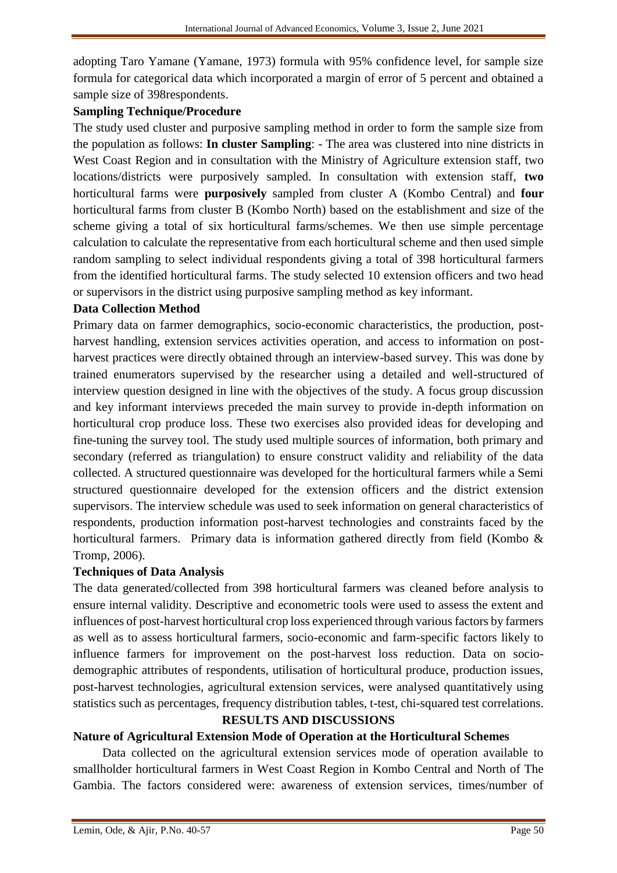adopting Taro Yamane (Yamane, 1973) formula with 95% confidence level, for sample size formula for categorical data which incorporated a margin of error of 5 percent and obtained a sample size of 398respondents.

#### **Sampling Technique/Procedure**

The study used cluster and purposive sampling method in order to form the sample size from the population as follows: **In cluster Sampling**: - The area was clustered into nine districts in West Coast Region and in consultation with the Ministry of Agriculture extension staff, two locations/districts were purposively sampled. In consultation with extension staff, **two** horticultural farms were **purposively** sampled from cluster A (Kombo Central) and **four** horticultural farms from cluster B (Kombo North) based on the establishment and size of the scheme giving a total of six horticultural farms/schemes. We then use simple percentage calculation to calculate the representative from each horticultural scheme and then used simple random sampling to select individual respondents giving a total of 398 horticultural farmers from the identified horticultural farms. The study selected 10 extension officers and two head or supervisors in the district using purposive sampling method as key informant.

#### **Data Collection Method**

Primary data on farmer demographics, socio-economic characteristics, the production, postharvest handling, extension services activities operation, and access to information on postharvest practices were directly obtained through an interview-based survey. This was done by trained enumerators supervised by the researcher using a detailed and well-structured of interview question designed in line with the objectives of the study. A focus group discussion and key informant interviews preceded the main survey to provide in-depth information on horticultural crop produce loss. These two exercises also provided ideas for developing and fine-tuning the survey tool. The study used multiple sources of information, both primary and secondary (referred as triangulation) to ensure construct validity and reliability of the data collected. A structured questionnaire was developed for the horticultural farmers while a Semi structured questionnaire developed for the extension officers and the district extension supervisors. The interview schedule was used to seek information on general characteristics of respondents, production information post-harvest technologies and constraints faced by the horticultural farmers. Primary data is information gathered directly from field (Kombo & Tromp, 2006).

#### **Techniques of Data Analysis**

The data generated/collected from 398 horticultural farmers was cleaned before analysis to ensure internal validity. Descriptive and econometric tools were used to assess the extent and influences of post-harvest horticultural crop loss experienced through various factors by farmers as well as to assess horticultural farmers, socio-economic and farm-specific factors likely to influence farmers for improvement on the post-harvest loss reduction. Data on sociodemographic attributes of respondents, utilisation of horticultural produce, production issues, post-harvest technologies, agricultural extension services, were analysed quantitatively using statistics such as percentages, frequency distribution tables, t-test, chi-squared test correlations.

#### **RESULTS AND DISCUSSIONS**

#### **Nature of Agricultural Extension Mode of Operation at the Horticultural Schemes**

Data collected on the agricultural extension services mode of operation available to smallholder horticultural farmers in West Coast Region in Kombo Central and North of The Gambia. The factors considered were: awareness of extension services, times/number of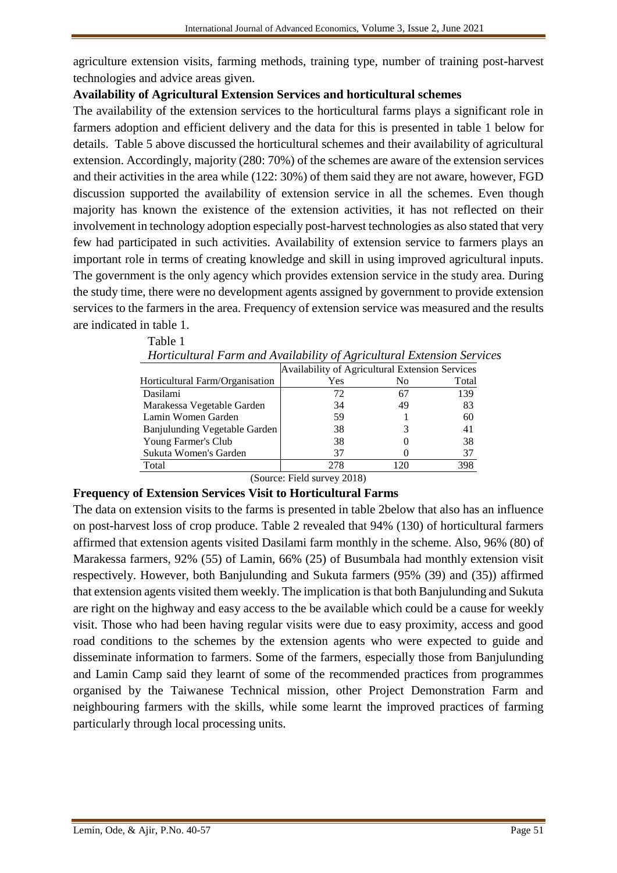agriculture extension visits, farming methods, training type, number of training post-harvest technologies and advice areas given.

#### **Availability of Agricultural Extension Services and horticultural schemes**

The availability of the extension services to the horticultural farms plays a significant role in farmers adoption and efficient delivery and the data for this is presented in table 1 below for details. Table 5 above discussed the horticultural schemes and their availability of agricultural extension. Accordingly, majority (280: 70%) of the schemes are aware of the extension services and their activities in the area while (122: 30%) of them said they are not aware, however, FGD discussion supported the availability of extension service in all the schemes. Even though majority has known the existence of the extension activities, it has not reflected on their involvement in technology adoption especially post-harvest technologies as also stated that very few had participated in such activities. Availability of extension service to farmers plays an important role in terms of creating knowledge and skill in using improved agricultural inputs. The government is the only agency which provides extension service in the study area. During the study time, there were no development agents assigned by government to provide extension services to the farmers in the area. Frequency of extension service was measured and the results are indicated in table 1.

| Trondominium Turni unu Avanuonni y of Agricummui Exichsion Scry |                                                 |                |       |
|-----------------------------------------------------------------|-------------------------------------------------|----------------|-------|
|                                                                 | Availability of Agricultural Extension Services |                |       |
| Horticultural Farm/Organisation                                 | Yes                                             | N <sub>0</sub> | Total |
| Dasilami                                                        | 72                                              | 67             | 139   |
| Marakessa Vegetable Garden                                      | 34                                              | 49             | 83    |
| Lamin Women Garden                                              | 59                                              |                | 60    |
| Banjulunding Vegetable Garden                                   | 38                                              |                | 41    |
| Young Farmer's Club                                             | 38                                              |                | 38    |
| Sukuta Women's Garden                                           | 37                                              |                | 37    |
| Total                                                           | 278                                             | 120            | 398   |

*Horticultural Farm and Availability of Agricultural Extension Services*

(Source: Field survey 2018)

#### **Frequency of Extension Services Visit to Horticultural Farms**

Table 1

The data on extension visits to the farms is presented in table 2below that also has an influence on post-harvest loss of crop produce. Table 2 revealed that 94% (130) of horticultural farmers affirmed that extension agents visited Dasilami farm monthly in the scheme. Also, 96% (80) of Marakessa farmers, 92% (55) of Lamin, 66% (25) of Busumbala had monthly extension visit respectively. However, both Banjulunding and Sukuta farmers (95% (39) and (35)) affirmed that extension agents visited them weekly. The implication is that both Banjulunding and Sukuta are right on the highway and easy access to the be available which could be a cause for weekly visit. Those who had been having regular visits were due to easy proximity, access and good road conditions to the schemes by the extension agents who were expected to guide and disseminate information to farmers. Some of the farmers, especially those from Banjulunding and Lamin Camp said they learnt of some of the recommended practices from programmes organised by the Taiwanese Technical mission, other Project Demonstration Farm and neighbouring farmers with the skills, while some learnt the improved practices of farming particularly through local processing units.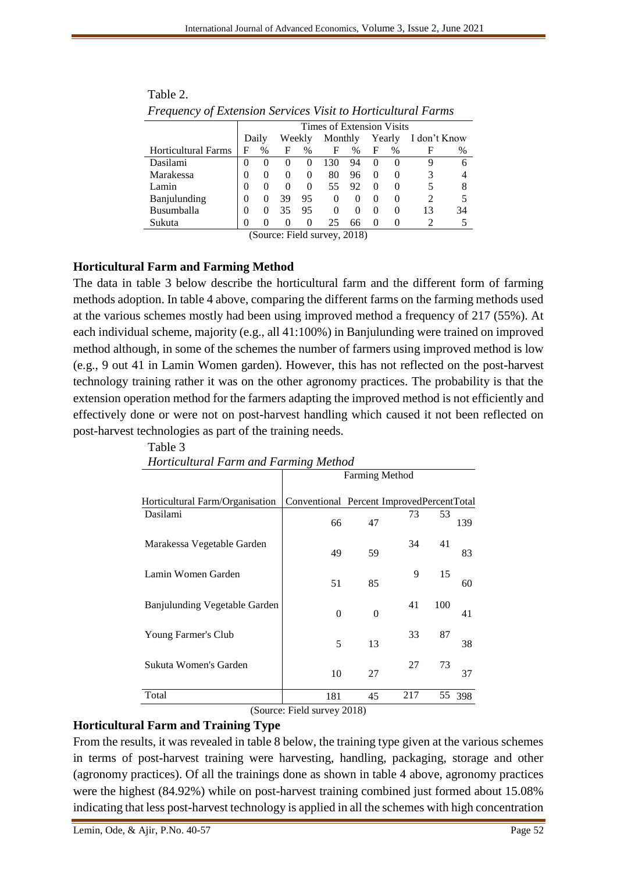|                            |        | Times of Extension Visits |          |                   |          |                      |          |              |              |    |
|----------------------------|--------|---------------------------|----------|-------------------|----------|----------------------|----------|--------------|--------------|----|
|                            |        | Daily                     |          | Weekly            | Monthly  |                      |          | Yearly       | I don't Know |    |
| <b>Horticultural Farms</b> | F      | %                         | F        | %                 | F        | %                    | F        | %            | н            | %  |
| Dasilami                   | 0      | $\theta$                  | $\theta$ | $\theta$          | 130      | 94                   | $\theta$ | $\theta$     |              | 6  |
| Marakessa                  | 0      | $\theta$                  | $\theta$ | $^{(1)}$          | 80       | 96                   | $\theta$ |              |              |    |
| Lamin                      | 0      | $\theta$                  | $\theta$ | $\theta$          | 55       | 92                   | $\theta$ | $\theta$     |              |    |
| Banjulunding               | 0      | $\theta$                  | 39       | 95                | $\theta$ | $\theta$             | $\theta$ | $\mathbf{0}$ |              |    |
| Busumballa                 | 0      | $\theta$                  | 35       | 95                | $\Omega$ | $\Omega$             | $\theta$ | $\Omega$     | 13           | 34 |
| Sukuta                     | 0      | $\mathbf{0}$              | $\theta$ | $\mathbf{\Omega}$ | 25       | 66                   |          |              |              |    |
|                            | $\sim$ |                           |          | .                 |          | $\sim$ $\sim$ $\sim$ |          |              |              |    |

| Table 2.                                                            |  |
|---------------------------------------------------------------------|--|
| <b>Frequency of Extension Services Visit to Horticultural Farms</b> |  |

(Source: Field survey, 2018)

# **Horticultural Farm and Farming Method**

The data in table 3 below describe the horticultural farm and the different form of farming methods adoption. In table 4 above, comparing the different farms on the farming methods used at the various schemes mostly had been using improved method a frequency of 217 (55%). At each individual scheme, majority (e.g., all 41:100%) in Banjulunding were trained on improved method although, in some of the schemes the number of farmers using improved method is low (e.g., 9 out 41 in Lamin Women garden). However, this has not reflected on the post-harvest technology training rather it was on the other agronomy practices. The probability is that the extension operation method for the farmers adapting the improved method is not efficiently and effectively done or were not on post-harvest handling which caused it not been reflected on post-harvest technologies as part of the training needs.

|                                 | <b>Farming Method</b>                     |          |     |     |     |  |  |  |  |
|---------------------------------|-------------------------------------------|----------|-----|-----|-----|--|--|--|--|
| Horticultural Farm/Organisation | Conventional Percent ImprovedPercentTotal |          |     |     |     |  |  |  |  |
| Dasilami                        | 66                                        | 47       | 73  | 53  | 139 |  |  |  |  |
| Marakessa Vegetable Garden      | 49                                        | 59       | 34  | 41  | 83  |  |  |  |  |
| Lamin Women Garden              | 51                                        | 85       | 9   | 15  | 60  |  |  |  |  |
| Banjulunding Vegetable Garden   | $\theta$                                  | $\theta$ | 41  | 100 | 41  |  |  |  |  |
| Young Farmer's Club             | 5                                         | 13       | 33  | 87  | 38  |  |  |  |  |
| Sukuta Women's Garden           | 10                                        | 27       | 27  | 73  | 37  |  |  |  |  |
| Total                           | 181                                       | 45       | 217 | 55  | 398 |  |  |  |  |

Table 3 *Horticultural Farm and Farming Method*

(Source: Field survey 2018)

# **Horticultural Farm and Training Type**

From the results, it was revealed in table 8 below, the training type given at the various schemes in terms of post-harvest training were harvesting, handling, packaging, storage and other (agronomy practices). Of all the trainings done as shown in table 4 above, agronomy practices were the highest (84.92%) while on post-harvest training combined just formed about 15.08% indicating that less post-harvest technology is applied in all the schemes with high concentration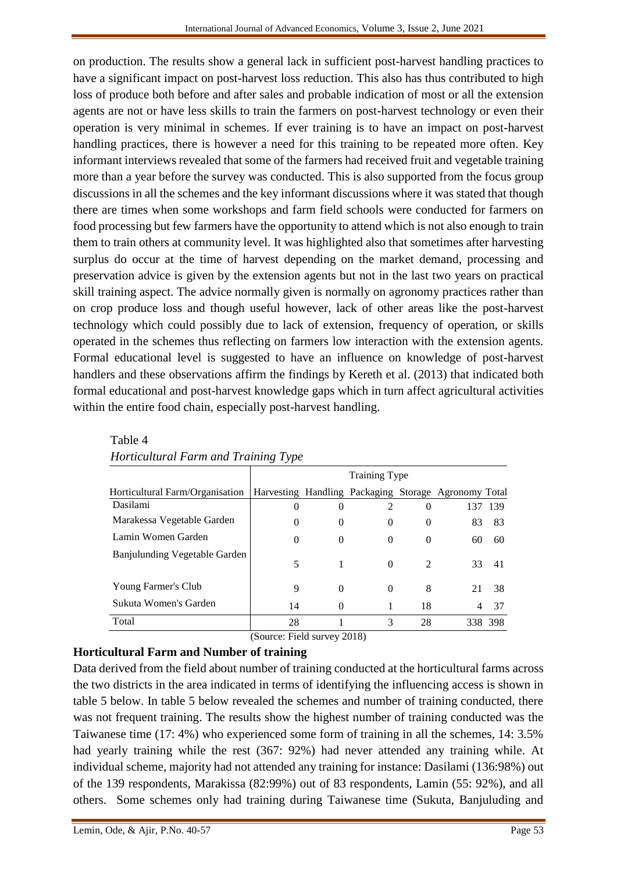on production. The results show a general lack in sufficient post-harvest handling practices to have a significant impact on post-harvest loss reduction. This also has thus contributed to high loss of produce both before and after sales and probable indication of most or all the extension agents are not or have less skills to train the farmers on post-harvest technology or even their operation is very minimal in schemes. If ever training is to have an impact on post-harvest handling practices, there is however a need for this training to be repeated more often. Key informant interviews revealed that some of the farmers had received fruit and vegetable training more than a year before the survey was conducted. This is also supported from the focus group discussions in all the schemes and the key informant discussions where it was stated that though there are times when some workshops and farm field schools were conducted for farmers on food processing but few farmers have the opportunity to attend which is not also enough to train them to train others at community level. It was highlighted also that sometimes after harvesting surplus do occur at the time of harvest depending on the market demand, processing and preservation advice is given by the extension agents but not in the last two years on practical skill training aspect. The advice normally given is normally on agronomy practices rather than on crop produce loss and though useful however, lack of other areas like the post-harvest technology which could possibly due to lack of extension, frequency of operation, or skills operated in the schemes thus reflecting on farmers low interaction with the extension agents. Formal educational level is suggested to have an influence on knowledge of post-harvest handlers and these observations affirm the findings by Kereth et al. (2013) that indicated both formal educational and post-harvest knowledge gaps which in turn affect agricultural activities within the entire food chain, especially post-harvest handling.

|                                 | <b>Training Type</b> |          |                |                |                                                      |         |  |  |  |
|---------------------------------|----------------------|----------|----------------|----------------|------------------------------------------------------|---------|--|--|--|
| Horticultural Farm/Organisation |                      |          |                |                | Harvesting Handling Packaging Storage Agronomy Total |         |  |  |  |
| Dasilami                        | $\theta$             | 0        | $\mathfrak{D}$ | 0              | 137                                                  | 139     |  |  |  |
| Marakessa Vegetable Garden      | $\Omega$             | 0        | $\theta$       | 0              | 83                                                   | 83      |  |  |  |
| Lamin Women Garden              | $\Omega$             | $\Omega$ | $\theta$       | 0              | 60                                                   | 60      |  |  |  |
| Banjulunding Vegetable Garden   | 5                    | 1        | $\Omega$       | $\mathfrak{D}$ | 33                                                   | 41      |  |  |  |
| Young Farmer's Club             | 9                    | $\Omega$ | $\Omega$       | 8              | 21                                                   | 38      |  |  |  |
| Sukuta Women's Garden           | 14                   | 0        |                | 18             | 4                                                    | 37      |  |  |  |
| Total                           | 28                   |          | 3              | 28             |                                                      | 338 398 |  |  |  |

| Table 4                              |  |
|--------------------------------------|--|
| Horticultural Farm and Training Type |  |

(Source: Field survey 2018)

# **Horticultural Farm and Number of training**

Data derived from the field about number of training conducted at the horticultural farms across the two districts in the area indicated in terms of identifying the influencing access is shown in table 5 below. In table 5 below revealed the schemes and number of training conducted, there was not frequent training. The results show the highest number of training conducted was the Taiwanese time (17: 4%) who experienced some form of training in all the schemes, 14: 3.5% had yearly training while the rest (367: 92%) had never attended any training while. At individual scheme, majority had not attended any training for instance: Dasilami (136:98%) out of the 139 respondents, Marakissa (82:99%) out of 83 respondents, Lamin (55: 92%), and all others. Some schemes only had training during Taiwanese time (Sukuta, Banjuluding and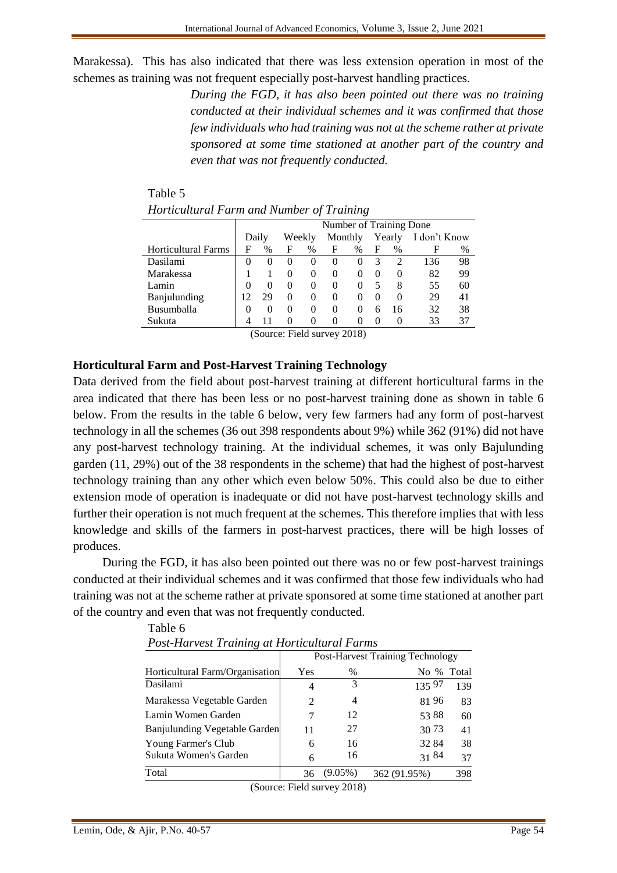Marakessa). This has also indicated that there was less extension operation in most of the schemes as training was not frequent especially post-harvest handling practices.

> *During the FGD, it has also been pointed out there was no training conducted at their individual schemes and it was confirmed that those few individuals who had training was not at the scheme rather at private sponsored at some time stationed at another part of the country and even that was not frequently conducted.*

|                            | Number of Training Done |          |          |          |              |          |          |          |              |    |
|----------------------------|-------------------------|----------|----------|----------|--------------|----------|----------|----------|--------------|----|
|                            | Daily                   |          | Weekly   |          | Monthly      |          |          | Yearly   | I don't Know |    |
| <b>Horticultural Farms</b> | F                       | $\%$     | F        | %        | F            | $\%$     | F        | %        | F            | %  |
| Dasilami                   |                         | $\Omega$ |          | $\theta$ | $\mathbf{0}$ |          |          | 2        | 136          | 98 |
| Marakessa                  |                         |          |          | $\Omega$ |              |          |          | $\theta$ | 82           | 99 |
| Lamin                      |                         | $\Omega$ | $\theta$ | $\Omega$ | $\mathbf{0}$ |          |          | 8        | 55           | 60 |
| Banjulunding               |                         | 29       | $\theta$ | $\Omega$ | $\mathbf{0}$ |          | $\theta$ | $\Omega$ | 29           | 41 |
| Busumballa                 |                         | $\Omega$ | $\theta$ | $\Omega$ | $\mathbf{0}$ | $\theta$ | 6        | 16       | 32           | 38 |
| Sukuta                     |                         |          |          | $\Omega$ | $\mathbf{0}$ |          |          | 0        | 33           | 37 |

Table 5 *Horticultural Farm and Number of Training*

(Source: Field survey 2018)

# **Horticultural Farm and Post-Harvest Training Technology**

Data derived from the field about post-harvest training at different horticultural farms in the area indicated that there has been less or no post-harvest training done as shown in table 6 below. From the results in the table 6 below, very few farmers had any form of post-harvest technology in all the schemes (36 out 398 respondents about 9%) while 362 (91%) did not have any post-harvest technology training. At the individual schemes, it was only Bajulunding garden (11, 29%) out of the 38 respondents in the scheme) that had the highest of post-harvest technology training than any other which even below 50%. This could also be due to either extension mode of operation is inadequate or did not have post-harvest technology skills and further their operation is not much frequent at the schemes. This therefore implies that with less knowledge and skills of the farmers in post-harvest practices, there will be high losses of produces.

During the FGD, it has also been pointed out there was no or few post-harvest trainings conducted at their individual schemes and it was confirmed that those few individuals who had training was not at the scheme rather at private sponsored at some time stationed at another part of the country and even that was not frequently conducted.

| r ost-riarvest Training at Horticuliural Furms |                                         |            |              |     |  |  |  |  |  |
|------------------------------------------------|-----------------------------------------|------------|--------------|-----|--|--|--|--|--|
|                                                | <b>Post-Harvest Training Technology</b> |            |              |     |  |  |  |  |  |
| Horticultural Farm/Organisation                | Yes                                     | $\%$       | No % Total   |     |  |  |  |  |  |
| Dasilami                                       | 4                                       | 3          | 135 97       | 139 |  |  |  |  |  |
| Marakessa Vegetable Garden                     | 2                                       | 4          | 8196         | 83  |  |  |  |  |  |
| Lamin Women Garden                             |                                         | 12         | 53 88        | 60  |  |  |  |  |  |
| Banjulunding Vegetable Garden                  | 11                                      | 27         | 30 73        | 41  |  |  |  |  |  |
| Young Farmer's Club                            | 6                                       | 16         | 32 84        | 38  |  |  |  |  |  |
| Sukuta Women's Garden                          | 6                                       | 16         | 3184         | 37  |  |  |  |  |  |
| Total                                          | 36                                      | $(9.05\%)$ | 362 (91.95%) | 398 |  |  |  |  |  |

Table 6 *Post-Harvest Training at Horticultural Farms*

(Source: Field survey 2018)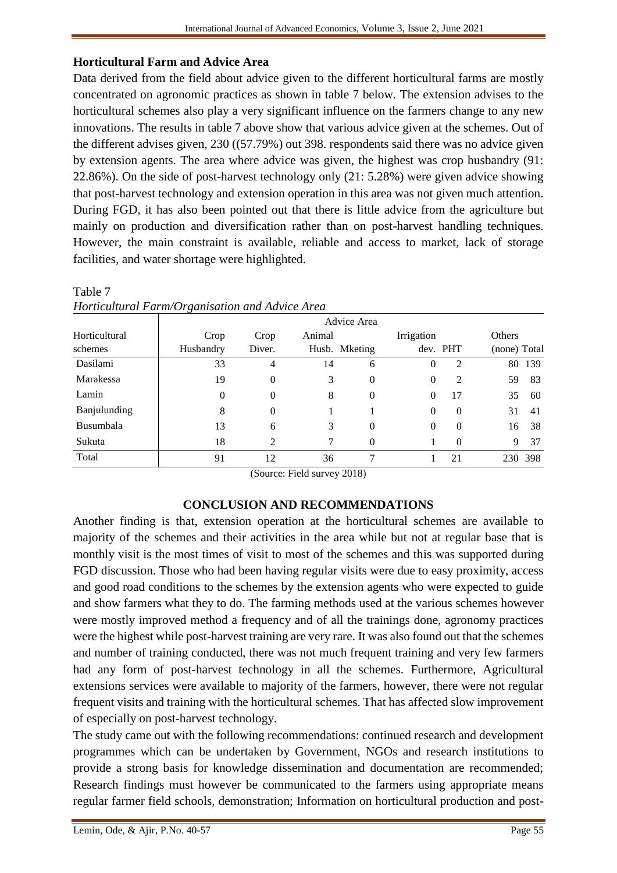# **Horticultural Farm and Advice Area**

Data derived from the field about advice given to the different horticultural farms are mostly concentrated on agronomic practices as shown in table 7 below. The extension advises to the horticultural schemes also play a very significant influence on the farmers change to any new innovations. The results in table 7 above show that various advice given at the schemes. Out of the different advises given, 230 ((57.79%) out 398. respondents said there was no advice given by extension agents. The area where advice was given, the highest was crop husbandry (91: 22.86%). On the side of post-harvest technology only (21: 5.28%) were given advice showing that post-harvest technology and extension operation in this area was not given much attention. During FGD, it has also been pointed out that there is little advice from the agriculture but mainly on production and diversification rather than on post-harvest handling techniques. However, the main constraint is available, reliable and access to market, lack of storage facilities, and water shortage were highlighted.

| 110 holden av 1 an mig 0 i gannsanden anna 11a hold 111 och |             |          |        |               |            |              |               |         |  |  |  |  |
|-------------------------------------------------------------|-------------|----------|--------|---------------|------------|--------------|---------------|---------|--|--|--|--|
|                                                             | Advice Area |          |        |               |            |              |               |         |  |  |  |  |
| Horticultural                                               | Crop        | Crop     | Animal |               | Irrigation |              | <b>Others</b> |         |  |  |  |  |
| schemes                                                     | Husbandry   | Diver.   |        | Husb. Mketing |            | dev. PHT     | (none) Total  |         |  |  |  |  |
| Dasilami                                                    | 33          | 4        | 14     | 6             | $\theta$   | 2            |               | 80 139  |  |  |  |  |
| Marakessa                                                   | 19          | 0        | 3      | $\Omega$      | $\Omega$   | 2            | 59            | 83      |  |  |  |  |
| Lamin                                                       | $\Omega$    | $\theta$ | 8      | $\Omega$      | $\Omega$   | 17           | 35            | 60      |  |  |  |  |
| Banjulunding                                                | 8           | $\Omega$ |        |               | $\Omega$   | $\Omega$     | 31            | 41      |  |  |  |  |
| Busumbala                                                   | 13          | 6        | 3      | $\theta$      | $\Omega$   | $\mathbf{0}$ | 16            | 38      |  |  |  |  |
| Sukuta                                                      | 18          | 2        | 7      | 0             |            | 0            | 9             | 37      |  |  |  |  |
| Total                                                       | 91          | 12       | 36     |               |            | 21           |               | 230 398 |  |  |  |  |

# *Horticultural Farm/Organisation and Advice Area*

Table 7

(Source: Field survey 2018)

#### **CONCLUSION AND RECOMMENDATIONS**

Another finding is that, extension operation at the horticultural schemes are available to majority of the schemes and their activities in the area while but not at regular base that is monthly visit is the most times of visit to most of the schemes and this was supported during FGD discussion. Those who had been having regular visits were due to easy proximity, access and good road conditions to the schemes by the extension agents who were expected to guide and show farmers what they to do. The farming methods used at the various schemes however were mostly improved method a frequency and of all the trainings done, agronomy practices were the highest while post-harvest training are very rare. It was also found out that the schemes and number of training conducted, there was not much frequent training and very few farmers had any form of post-harvest technology in all the schemes. Furthermore, Agricultural extensions services were available to majority of the farmers, however, there were not regular frequent visits and training with the horticultural schemes. That has affected slow improvement of especially on post-harvest technology.

The study came out with the following recommendations: continued research and development programmes which can be undertaken by Government, NGOs and research institutions to provide a strong basis for knowledge dissemination and documentation are recommended; Research findings must however be communicated to the farmers using appropriate means regular farmer field schools, demonstration; Information on horticultural production and post-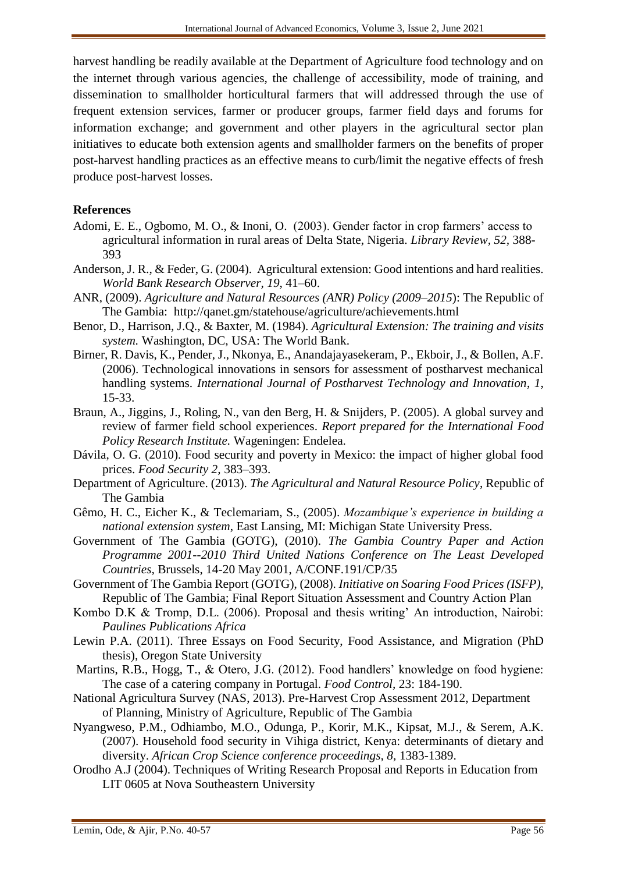harvest handling be readily available at the Department of Agriculture food technology and on the internet through various agencies, the challenge of accessibility, mode of training, and dissemination to smallholder horticultural farmers that will addressed through the use of frequent extension services, farmer or producer groups, farmer field days and forums for information exchange; and government and other players in the agricultural sector plan initiatives to educate both extension agents and smallholder farmers on the benefits of proper post-harvest handling practices as an effective means to curb/limit the negative effects of fresh produce post-harvest losses.

#### **References**

- Adomi, E. E., Ogbomo, M. O., & Inoni, O. (2003). Gender factor in crop farmers' access to agricultural information in rural areas of Delta State, Nigeria. *Library Review, 52,* 388- 393
- Anderson, J. R., & Feder, G. (2004). Agricultural extension: Good intentions and hard realities. *World Bank Research Observer, 19*, 41–60.
- ANR, (2009). *Agriculture and Natural Resources (ANR) Policy (2009–2015*): The Republic of The Gambia: <http://qanet.gm/statehouse/agriculture/achievements.html>
- Benor, D., Harrison, J.Q., & Baxter, M. (1984). *Agricultural Extension: The training and visits system.* Washington, DC, USA: The World Bank.
- Birner, R. Davis, K., Pender, J., Nkonya, E., Anandajayasekeram, P., Ekboir, J., & Bollen, A.F. (2006). Technological innovations in sensors for assessment of postharvest mechanical handling systems. *International Journal of Postharvest Technology and Innovation*, *1*, 15-33.
- Braun, A., Jiggins, J., Roling, N., van den Berg, H. & Snijders, P. (2005). A global survey and review of farmer field school experiences. *Report prepared for the International Food Policy Research Institute.* Wageningen: Endelea.
- Dávila, O. G. (2010). Food security and poverty in Mexico: the impact of higher global food prices. *Food Security 2,* 383–393.
- Department of Agriculture. (2013). *The Agricultural and Natural Resource Policy*, Republic of The Gambia
- Gêmo, H. C., Eicher K., & Teclemariam, S., (2005). *Mozambique's experience in building a national extension system*, East Lansing, MI: Michigan State University Press.
- Government of The Gambia (GOTG), (2010). *The Gambia Country Paper and Action Programme 2001--2010 Third United Nations Conference on The Least Developed Countries,* Brussels, 14-20 May 2001, A/CONF.191/CP/35
- Government of The Gambia Report (GOTG), (2008). *Initiative on Soaring Food Prices (ISFP),* Republic of The Gambia; Final Report Situation Assessment and Country Action Plan
- Kombo D.K & Tromp, D.L. (2006). Proposal and thesis writing' An introduction, Nairobi: *Paulines Publications Africa*
- Lewin P.A. (2011). Three Essays on Food Security, Food Assistance, and Migration (PhD thesis), Oregon State University
- Martins, R.B., Hogg, T., & Otero, J.G. (2012). Food handlers' knowledge on food hygiene: The case of a catering company in Portugal. *Food Control,* 23: 184-190.
- National Agricultura Survey (NAS, 2013). Pre-Harvest Crop Assessment 2012, Department of Planning, Ministry of Agriculture, Republic of The Gambia
- Nyangweso, P.M., Odhiambo, M.O., Odunga, P., Korir, M.K., Kipsat, M.J., & Serem, A.K. (2007). Household food security in Vihiga district, Kenya: determinants of dietary and diversity. *African Crop Science conference proceedings, 8,* 1383-1389.
- Orodho A.J (2004). Techniques of Writing Research Proposal and Reports in Education from LIT 0605 at Nova Southeastern University